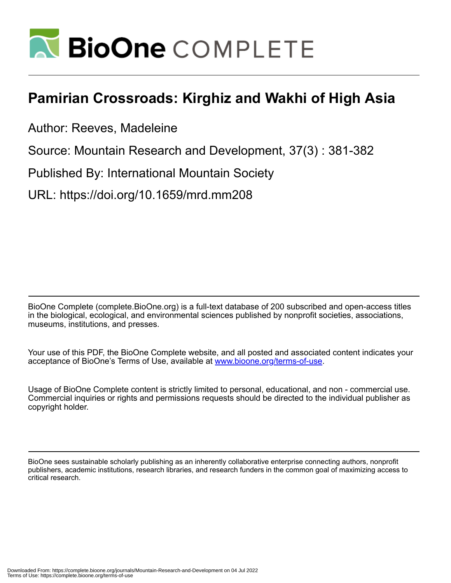

# **Pamirian Crossroads: Kirghiz and Wakhi of High Asia**

Author: Reeves, Madeleine

Source: Mountain Research and Development, 37(3) : 381-382

Published By: International Mountain Society

URL: https://doi.org/10.1659/mrd.mm208

BioOne Complete (complete.BioOne.org) is a full-text database of 200 subscribed and open-access titles in the biological, ecological, and environmental sciences published by nonprofit societies, associations, museums, institutions, and presses.

Your use of this PDF, the BioOne Complete website, and all posted and associated content indicates your acceptance of BioOne's Terms of Use, available at www.bioone.org/terms-of-use.

Usage of BioOne Complete content is strictly limited to personal, educational, and non - commercial use. Commercial inquiries or rights and permissions requests should be directed to the individual publisher as copyright holder.

BioOne sees sustainable scholarly publishing as an inherently collaborative enterprise connecting authors, nonprofit publishers, academic institutions, research libraries, and research funders in the common goal of maximizing access to critical research.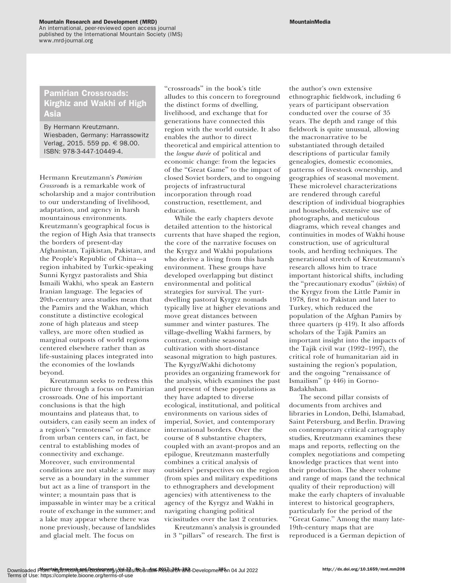## Mountain Research and Development (MRD)

An international, peer-reviewed open access journal published by the International Mountain Society (IMS) www.mrd-journal.org

# Pamirian Crossroads: Kirghiz and Wakhi of High Asia

By Hermann Kreutzmann. Wiesbaden, Germany: Harrassowitz Verlag, 2015. 559 pp. € 98.00. ISBN: 978-3-447-10449-4.

Hermann Kreutzmann's Pamirian Crossroads is a remarkable work of scholarship and a major contribution to our understanding of livelihood, adaptation, and agency in harsh mountainous environments. Kreutzmann's geographical focus is the region of High Asia that transects the borders of present-day Afghanistan, Tajikistan, Pakistan, and the People's Republic of China—a region inhabited by Turkic-speaking Sunni Kyrgyz pastoralists and Shia Ismaili Wakhi, who speak an Eastern Iranian language. The legacies of 20th-century area studies mean that the Pamirs and the Wakhan, which constitute a distinctive ecological zone of high plateaus and steep valleys, are more often studied as marginal outposts of world regions centered elsewhere rather than as life-sustaining places integrated into the economies of the lowlands beyond.

Kreutzmann seeks to redress this picture through a focus on Pamirian crossroads. One of his important conclusions is that the high mountains and plateaus that, to outsiders, can easily seem an index of a region's ''remoteness'' or distance from urban centers can, in fact, be central to establishing modes of connectivity and exchange. Moreover, such environmental conditions are not stable: a river may serve as a boundary in the summer but act as a line of transport in the winter; a mountain pass that is impassable in winter may be a critical route of exchange in the summer; and a lake may appear where there was none previously, because of landslides and glacial melt. The focus on

''crossroads'' in the book's title alludes to this concern to foreground the distinct forms of dwelling, livelihood, and exchange that for generations have connected this region with the world outside. It also enables the author to direct theoretical and empirical attention to the longue durée of political and economic change: from the legacies of the ''Great Game'' to the impact of closed Soviet borders, and to ongoing projects of infrastructural incorporation through road construction, resettlement, and education.

While the early chapters devote detailed attention to the historical currents that have shaped the region, the core of the narrative focuses on the Kyrgyz and Wakhi populations who derive a living from this harsh environment. These groups have developed overlapping but distinct environmental and political strategies for survival. The yurtdwelling pastoral Kyrgyz nomads typically live at higher elevations and move great distances between summer and winter pastures. The village-dwelling Wakhi farmers, by contrast, combine seasonal cultivation with short-distance seasonal migration to high pastures. The Kyrgyz/Wakhi dichotomy provides an organizing framework for the analysis, which examines the past and present of these populations as they have adapted to diverse ecological, institutional, and political environments on various sides of imperial, Soviet, and contemporary international borders. Over the course of 8 substantive chapters, coupled with an avant-propos and an epilogue, Kreutzmann masterfully combines a critical analysis of outsiders' perspectives on the region (from spies and military expeditions to ethnographers and development agencies) with attentiveness to the agency of the Kyrgyz and Wakhi in navigating changing political vicissitudes over the last 2 centuries.

Kreutzmann's analysis is grounded in 3 ''pillars'' of research. The first is

the author's own extensive ethnographic fieldwork, including 6 years of participant observation conducted over the course of 35 years. The depth and range of this fieldwork is quite unusual, allowing the macronarrative to be substantiated through detailed descriptions of particular family genealogies, domestic economies, patterns of livestock ownership, and geographies of seasonal movement. These microlevel characterizations are rendered through careful description of individual biographies and households, extensive use of photographs, and meticulous diagrams, which reveal changes and continuities in modes of Wakhi house construction, use of agricultural tools, and herding techniques. The generational stretch of Kreutzmann's research allows him to trace important historical shifts, including the "precautionary exodus" (*ürkün*) of the Kyrgyz from the Little Pamir in 1978, first to Pakistan and later to Turkey, which reduced the population of the Afghan Pamirs by three quarters (p 419). It also affords scholars of the Tajik Pamirs an important insight into the impacts of the Tajik civil war (1992–1997), the critical role of humanitarian aid in sustaining the region's population, and the ongoing ''renaissance of Ismailism'' (p 446) in Gorno-Badakhshan.

The second pillar consists of documents from archives and libraries in London, Delhi, Islamabad, Saint Petersburg, and Berlin. Drawing on contemporary critical cartography studies, Kreutzmann examines these maps and reports, reflecting on the complex negotiations and competing knowledge practices that went into their production. The sheer volume and range of maps (and the technical quality of their reproduction) will make the early chapters of invaluable interest to historical geographers, particularly for the period of the ''Great Game.'' Among the many late-19th-century maps that are reproduced is a German depiction of